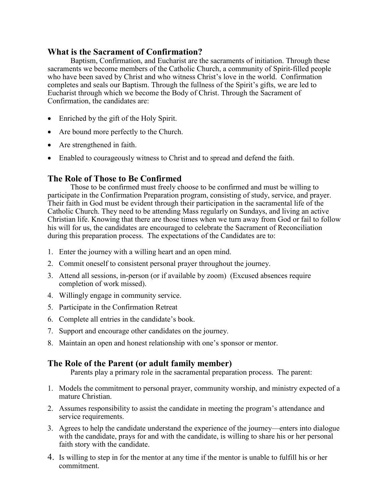#### **What is the Sacrament of Confirmation?**

Baptism, Confirmation, and Eucharist are the sacraments of initiation. Through these sacraments we become members of the Catholic Church, a community of Spirit-filled people who have been saved by Christ and who witness Christ's love in the world. Confirmation completes and seals our Baptism. Through the fullness of the Spirit's gifts, we are led to Eucharist through which we become the Body of Christ. Through the Sacrament of Confirmation, the candidates are:

- Enriched by the gift of the Holy Spirit.
- Are bound more perfectly to the Church.
- Are strengthened in faith.
- Enabled to courageously witness to Christ and to spread and defend the faith.

## **The Role of Those to Be Confirmed**

Those to be confirmed must freely choose to be confirmed and must be willing to participate in the Confirmation Preparation program, consisting of study, service, and prayer. Their faith in God must be evident through their participation in the sacramental life of the Catholic Church. They need to be attending Mass regularly on Sundays, and living an active Christian life. Knowing that there are those times when we turn away from God or fail to follow his will for us, the candidates are encouraged to celebrate the Sacrament of Reconciliation during this preparation process. The expectations of the Candidates are to:

- 1. Enter the journey with a willing heart and an open mind.
- 2. Commit oneself to consistent personal prayer throughout the journey.
- 3. Attend all sessions, in-person (or if available by zoom) (Excused absences require completion of work missed).
- 4. Willingly engage in community service.
- 5. Participate in the Confirmation Retreat
- 6. Complete all entries in the candidate's book.
- 7. Support and encourage other candidates on the journey.
- 8. Maintain an open and honest relationship with one's sponsor or mentor.

# **The Role of the Parent (or adult family member)**

Parents play a primary role in the sacramental preparation process. The parent:

- 1. Models the commitment to personal prayer, community worship, and ministry expected of a mature Christian.
- 2. Assumes responsibility to assist the candidate in meeting the program's attendance and service requirements.
- 3. Agrees to help the candidate understand the experience of the journey—enters into dialogue with the candidate, prays for and with the candidate, is willing to share his or her personal faith story with the candidate.
- 4. Is willing to step in for the mentor at any time if the mentor is unable to fulfill his or her commitment.